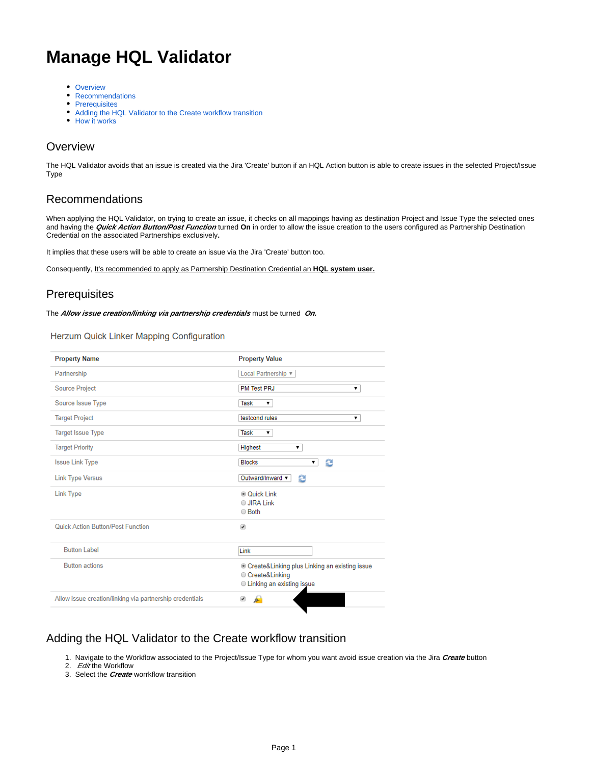# **Manage HQL Validator**

- [Overview](#page-0-0)
- [Recommendations](#page-0-1)
- [Prerequisites](#page-0-2)
- [Adding the HQL Validator to the Create workflow transition](#page-0-3)
- [How it works](#page-2-0)

## <span id="page-0-0"></span>**Overview**

The HQL Validator avoids that an issue is created via the Jira 'Create' button if an HQL Action button is able to create issues in the selected Project/Issue Type

# <span id="page-0-1"></span>Recommendations

When applying the HQL Validator, on trying to create an issue, it checks on all mappings having as destination Project and Issue Type the selected ones and having the **Quick Action Button/Post Function** turned **On** in order to allow the issue creation to the users configured as Partnership Destination Credential on the associated Partnerships exclusively**.**

It implies that these users will be able to create an issue via the Jira 'Create' button too.

Consequently, It's recommended to apply as Partnership Destination Credential an **HQL system user.**

# <span id="page-0-2"></span>**Prerequisites**

The **Allow issue creation/linking via partnership credentials** must be turned **On.**

Herzum Quick Linker Mapping Configuration

| <b>Property Name</b>                                     | <b>Property Value</b>                                                                                           |
|----------------------------------------------------------|-----------------------------------------------------------------------------------------------------------------|
| Partnership                                              | Local Partnership v                                                                                             |
| <b>Source Project</b>                                    | <b>PM Test PRJ</b><br>۷.                                                                                        |
| Source Issue Type                                        | Task<br>▼                                                                                                       |
| <b>Target Project</b>                                    | testcond rules<br>۷.                                                                                            |
| <b>Target Issue Type</b>                                 | <b>Task</b><br>7                                                                                                |
| <b>Target Priority</b>                                   | <b>Highest</b><br>۷.                                                                                            |
| <b>Issue Link Type</b>                                   | • 2<br><b>Blocks</b>                                                                                            |
| <b>Link Type Versus</b>                                  | Outward/Inward v<br>ø                                                                                           |
| <b>Link Type</b>                                         | © Quick Link<br><b>O JIRA Link</b><br>○ Both                                                                    |
| Quick Action Button/Post Function                        | ✔                                                                                                               |
| <b>Button Label</b>                                      | Link                                                                                                            |
| <b>Button actions</b>                                    | © Create&Linking plus Linking an existing issue<br>Create&Linking<br><b>Example 1</b> Linking an existing issue |
| Allow issue creation/linking via partnership credentials | da)<br>$\overline{\mathbf{v}}$                                                                                  |

## <span id="page-0-3"></span>Adding the HQL Validator to the Create workflow transition

1. Navigate to the Workflow associated to the Project/Issue Type for whom you want avoid issue creation via the Jira **Create** button

- 2. Editthe Workflow
- 3. Select the **Create** worrkflow transition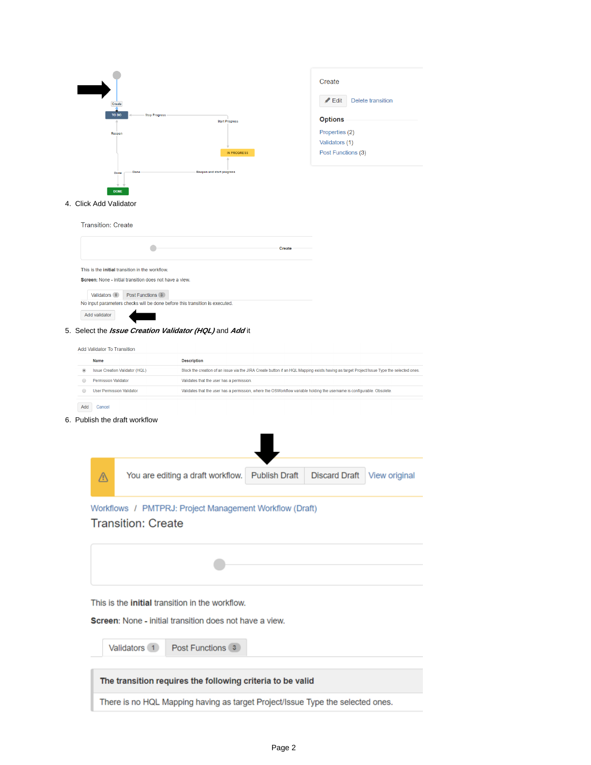

#### 4. Click Add Validator

| <b>Transition: Create</b> |                                                                                                            |        |
|---------------------------|------------------------------------------------------------------------------------------------------------|--------|
|                           |                                                                                                            | Create |
|                           | This is the initial transition in the workflow.<br>Screen: None - initial transition does not have a view. |        |
| Validators 0              | Post Functions 3                                                                                           |        |
|                           | No input parameters checks will be done before this transition is executed.                                |        |
| Add validator             |                                                                                                            |        |

### 5. Select the **Issue Creation Validator (HQL)** and **Add** it

| Add Validator To Transition           |                                                                                                                                           |
|---------------------------------------|-------------------------------------------------------------------------------------------------------------------------------------------|
| Name                                  | <b>Description</b>                                                                                                                        |
| <b>Issue Creation Validator (HQL)</b> | Block the creation of an issue via the JIRA Create button if an HQL Mapping exists having as target Project/Issue Type the selected ones. |
| Permission Validator                  | Validates that the user has a permission.                                                                                                 |
| <b>User Permission Validator</b>      | Validates that the user has a permission, where the OSWorkflow variable holding the username is configurable. Obsolete.                   |
|                                       |                                                                                                                                           |

Add Cancel

 $\odot$ 

6. Publish the draft workflow

| You are editing a draft workflow.                                                                                                                            | <b>Publish Draft</b> | <b>Discard Draft</b> | View original |
|--------------------------------------------------------------------------------------------------------------------------------------------------------------|----------------------|----------------------|---------------|
| Workflows / PMTPRJ: Project Management Workflow (Draft)<br><b>Transition: Create</b>                                                                         |                      |                      |               |
|                                                                                                                                                              |                      |                      |               |
| This is the <b>initial</b> transition in the workflow.<br><b>Screen:</b> None - initial transition does not have a view.<br>Validators 1<br>Post Functions 3 |                      |                      |               |
| The transition requires the following criteria to be valid                                                                                                   |                      |                      |               |
| There is no HQL Mapping having as target Project/Issue Type the selected ones.                                                                               |                      |                      |               |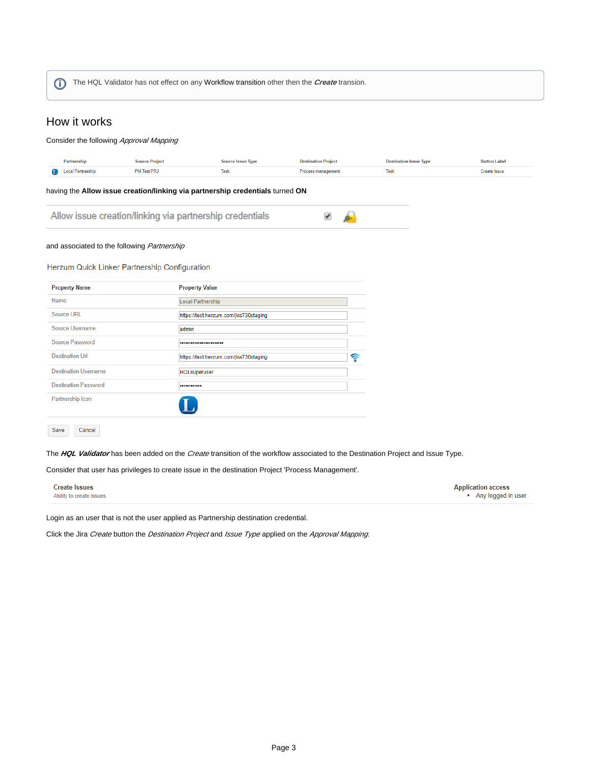The HQL Validator has not effect on any Workflow transition other then the **Create** transion.G)

## <span id="page-2-0"></span>How it works

#### Consider the following Approval Mapping **Source Project Destination Project Destination Issue Type** Partnership Source Issue Type **Button Label D** Local Partnership PM Test PRJ Task Process management Task Create Issue having the **Allow issue creation/linking via partnership credentials** turned **ON** Allow issue creation/linking via partnership credentials ✔ ģ. and associated to the following Partnership Herzum Quick Linker Partnership Configuration **Property Name Property Value** Name Local Partnership Source URL https://test.herzum.com/jira730staging Source Username admin Source Password ..................... **Destination Url** https://test.herzum.com/jira730staging  $\widehat{\mathbf{r}}$ **Destination Username HQLsuperuser Destination Password** .......... Partnership Icon Save Cancel

The HQL Validator has been added on the Create transition of the workflow associated to the Destination Project and Issue Type.

Consider that user has privileges to create issue in the destination Project 'Process Management'.

| <b>Create Issues</b>      | <b>Application access</b> |
|---------------------------|---------------------------|
| Ability to create issues. | • Any logged in user      |
|                           |                           |

Login as an user that is not the user applied as Partnership destination credential.

Click the Jira Create button the Destination Project and Issue Type applied on the Approval Mapping.